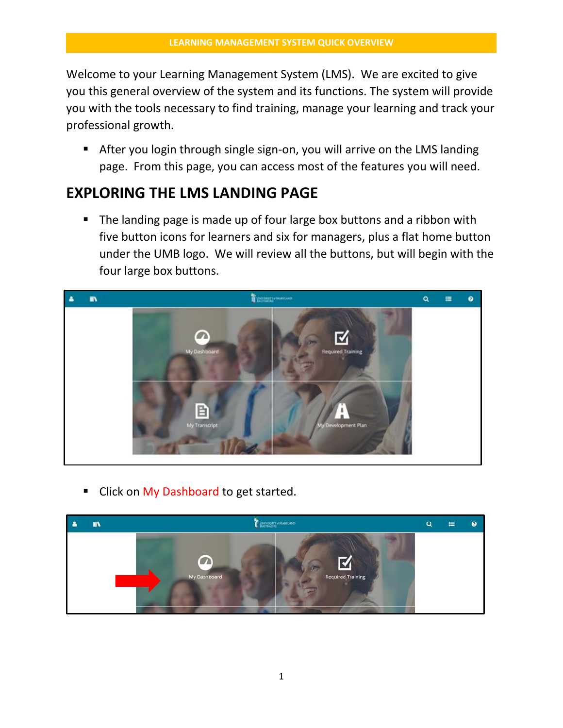Welcome to your Learning Management System (LMS). We are excited to give you this general overview of the system and its functions. The system will provide you with the tools necessary to find training, manage your learning and track your professional growth.

 After you login through single sign-on, you will arrive on the LMS landing page. From this page, you can access most of the features you will need.

# **EXPLORING THE LMS LANDING PAGE**

• The landing page is made up of four large box buttons and a ribbon with five button icons for learners and six for managers, plus a flat home button under the UMB logo. We will review all the buttons, but will begin with the four large box buttons.



Click on My Dashboard to get started.

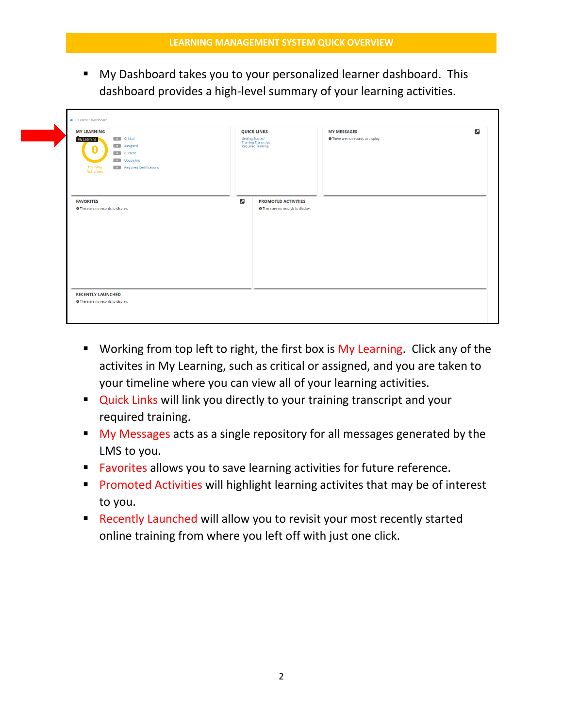My Dashboard takes you to your personalized learner dashboard. This dashboard provides a high-level summary of your learning activities.

| <b>MY LEARNING</b><br>o Critical<br>My Learning<br><b>D</b> Assigned<br><b>o</b> Current<br><b>D</b> Upcoming<br><b>Training</b><br><b>Activities</b><br><b>D</b> Required Certifications |                       | <b>QUICK LINKS</b><br>Getting Started<br>Training Transcript<br>Required Training | <b>MY MESSAGES</b><br><b>O</b> There are no records to display. | $\mathbf{z}$ |
|-------------------------------------------------------------------------------------------------------------------------------------------------------------------------------------------|-----------------------|-----------------------------------------------------------------------------------|-----------------------------------------------------------------|--------------|
| <b>FAVORITES</b><br><b>O</b> There are no records to display.                                                                                                                             | $\boldsymbol{\Sigma}$ | <b>PROMOTED ACTIVITIES</b><br>O There are no records to display.                  |                                                                 |              |
| <b>RECENTLY LAUNCHED</b><br><b>O</b> There are no records to display.                                                                                                                     |                       |                                                                                   |                                                                 |              |

- Working from top left to right, the first box is My Learning. Click any of the activites in My Learning, such as critical or assigned, and you are taken to your timeline where you can view all of your learning activities.
- **Quick Links will link you directly to your training transcript and your** required training.
- My Messages acts as a single repository for all messages generated by the LMS to you.
- **Favorites allows you to save learning activities for future reference.**
- **Promoted Activities will highlight learning activites that may be of interest** to you.
- **Recently Launched will allow you to revisit your most recently started** online training from where you left off with just one click.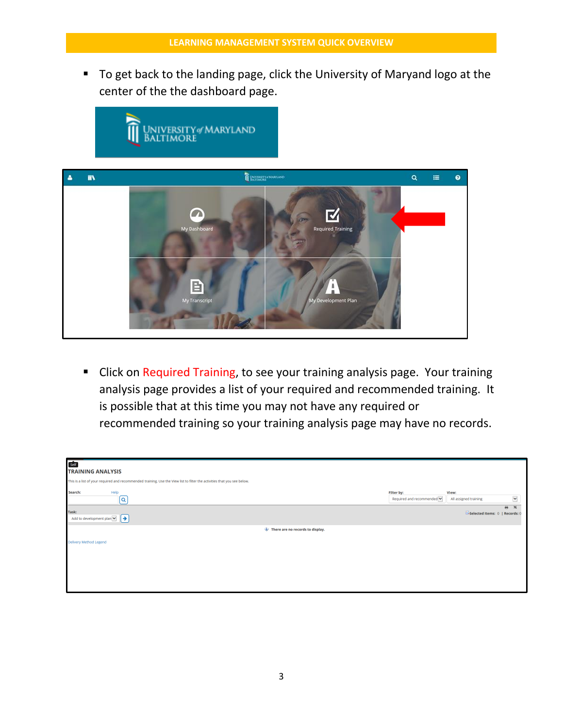■ To get back to the landing page, click the University of Maryand logo at the center of the the dashboard page.



**E** Click on Required Training, to see your training analysis page. Your training analysis page provides a list of your required and recommended training. It is possible that at this time you may not have any required or recommended training so your training analysis page may have no records.

| Self                                                                                                                     |                            |                                |                               |
|--------------------------------------------------------------------------------------------------------------------------|----------------------------|--------------------------------|-------------------------------|
| <b>TRAINING ANALYSIS</b>                                                                                                 |                            |                                |                               |
| This is a list of your required and recommended training. Use the View list to filter the activities that you see below. |                            |                                |                               |
| Help<br>Search:                                                                                                          | Filter by:                 | View:                          |                               |
| (a                                                                                                                       | Required and recommended V | All assigned training          | $\checkmark$                  |
| Task:                                                                                                                    |                            |                                | $\frac{1}{2}$<br>$\mathbf{x}$ |
| Add to development plan $\vee$ $\rightarrow$                                                                             |                            | Selected Items: 0   Records: 0 |                               |
| There are no records to display.                                                                                         |                            |                                |                               |
| <b>Delivery Method Legend</b>                                                                                            |                            |                                |                               |
|                                                                                                                          |                            |                                |                               |
|                                                                                                                          |                            |                                |                               |
|                                                                                                                          |                            |                                |                               |
|                                                                                                                          |                            |                                |                               |
|                                                                                                                          |                            |                                |                               |
|                                                                                                                          |                            |                                |                               |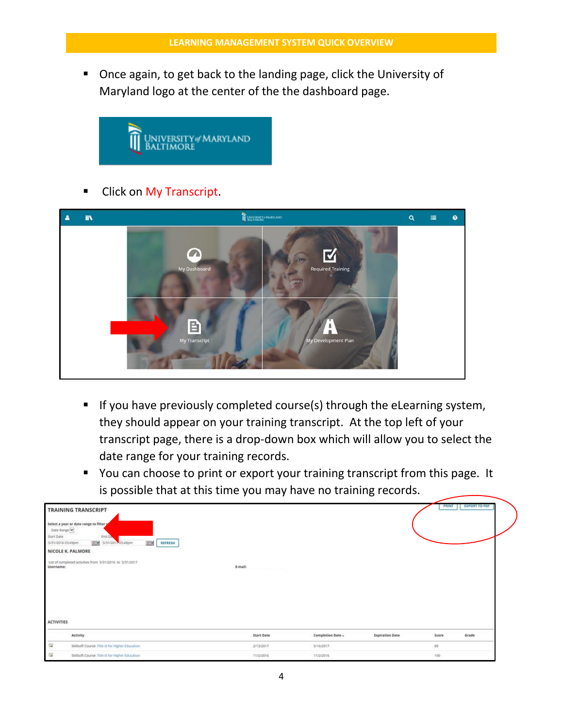**Once again, to get back to the landing page, click the University of** Maryland logo at the center of the the dashboard page.



Click on My Transcript.



- If you have previously completed course(s) through the eLearning system, they should appear on your training transcript. At the top left of your transcript page, there is a drop-down box which will allow you to select the date range for your training records.
- **•** You can choose to print or export your training transcript from this page. It is possible that at this time you may have no training records.

| Date Range<br>Start Date<br>5/31/2016 03:49pm<br>NICOLE K. PALMORE<br>Username:<br><b>ACTIVITIES</b> | <b>TRAINING TRANSCRIPT</b><br>Select a year or date range to filter<br>End Da<br>Bill 5/31/2011 03:49pm<br><b>BSP</b><br>REFRESH<br>List of completed activities from 5/31/2016 to 5/31/2017 | E-mail:           |                   |                        | <b>PRINT</b> | <b>EXPORT TO PDF</b> |
|------------------------------------------------------------------------------------------------------|----------------------------------------------------------------------------------------------------------------------------------------------------------------------------------------------|-------------------|-------------------|------------------------|--------------|----------------------|
|                                                                                                      | Activity                                                                                                                                                                                     | <b>Start Date</b> | Completion Date - | <b>Expiration Date</b> | Score        | Grade                |
| 霷                                                                                                    | Skillsoft Course: Title IX for Higher Education                                                                                                                                              | 2/13/2017         | 5/16/2017         |                        | 89           |                      |
| G                                                                                                    | Skillsoft Course: Title IX for Higher Education                                                                                                                                              | 11/2/2016         | 11/2/2016         |                        | 100          |                      |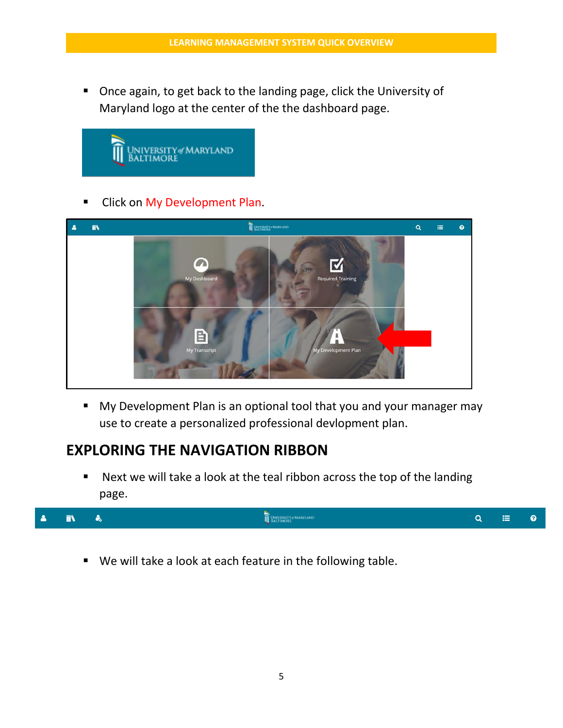■ Once again, to get back to the landing page, click the University of Maryland logo at the center of the the dashboard page.



**Click on My Development Plan.** 



My Development Plan is an optional tool that you and your manager may use to create a personalized professional devlopment plan.

# **EXPLORING THE NAVIGATION RIBBON**

■ Next we will take a look at the teal ribbon across the top of the landing page.



We will take a look at each feature in the following table.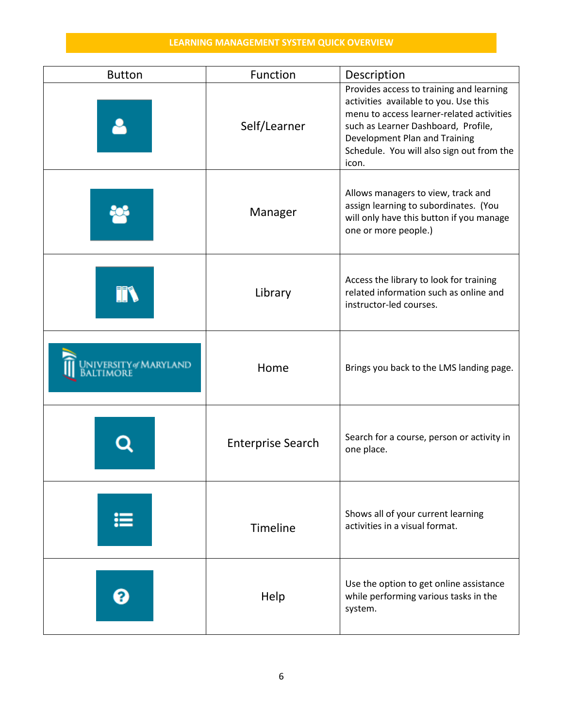| <b>Button</b>                  | Function                 | Description                                                                                                                                                                                                                                                  |  |  |
|--------------------------------|--------------------------|--------------------------------------------------------------------------------------------------------------------------------------------------------------------------------------------------------------------------------------------------------------|--|--|
|                                | Self/Learner             | Provides access to training and learning<br>activities available to you. Use this<br>menu to access learner-related activities<br>such as Learner Dashboard, Profile,<br>Development Plan and Training<br>Schedule. You will also sign out from the<br>icon. |  |  |
|                                | Manager                  | Allows managers to view, track and<br>assign learning to subordinates. (You<br>will only have this button if you manage<br>one or more people.)                                                                                                              |  |  |
| FF                             | Library                  | Access the library to look for training<br>related information such as online and<br>instructor-led courses.                                                                                                                                                 |  |  |
| NIVERSITY@MARYLAND<br>altimore | Home                     | Brings you back to the LMS landing page.                                                                                                                                                                                                                     |  |  |
|                                | <b>Enterprise Search</b> | Search for a course, person or activity in<br>one place.                                                                                                                                                                                                     |  |  |
| ⋿                              | Timeline                 | Shows all of your current learning<br>activities in a visual format.                                                                                                                                                                                         |  |  |
|                                | Help                     | Use the option to get online assistance<br>while performing various tasks in the<br>system.                                                                                                                                                                  |  |  |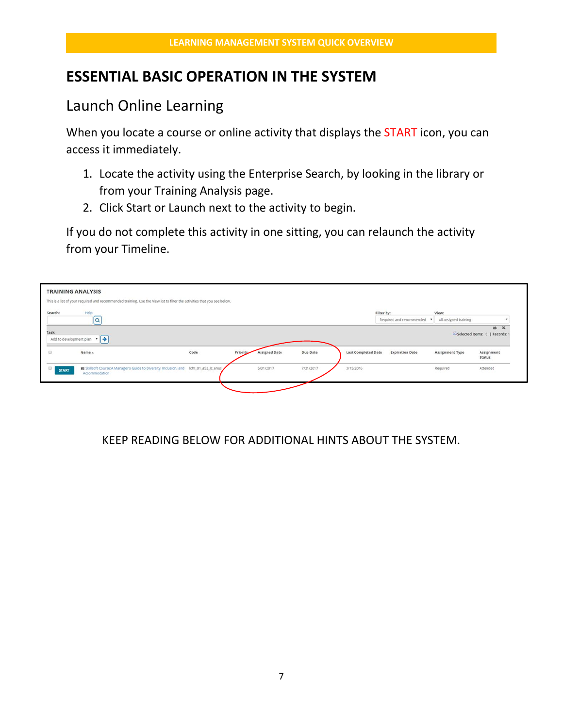## **ESSENTIAL BASIC OPERATION IN THE SYSTEM**

## Launch Online Learning

When you locate a course or online activity that displays the **START** icon, you can access it immediately.

- 1. Locate the activity using the Enterprise Search, by looking in the library or from your Training Analysis page.
- 2. Click Start or Launch next to the activity to begin.

If you do not complete this activity in one sitting, you can relaunch the activity from your Timeline.



#### KEEP READING BELOW FOR ADDITIONAL HINTS ABOUT THE SYSTEM.